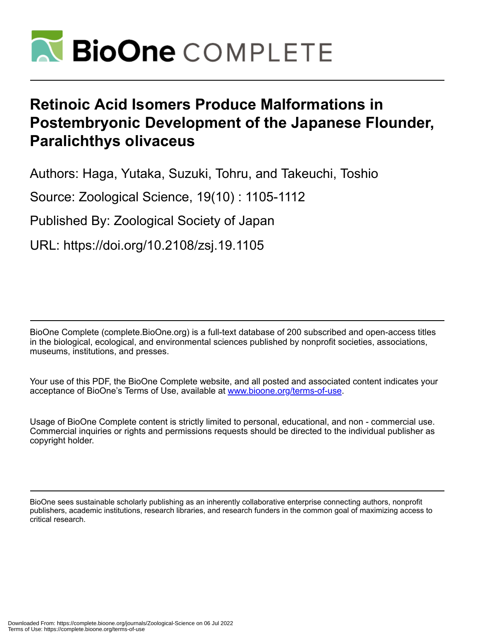

# **Retinoic Acid Isomers Produce Malformations in Postembryonic Development of the Japanese Flounder, Paralichthys olivaceus**

Authors: Haga, Yutaka, Suzuki, Tohru, and Takeuchi, Toshio

Source: Zoological Science, 19(10) : 1105-1112

Published By: Zoological Society of Japan

URL: https://doi.org/10.2108/zsj.19.1105

BioOne Complete (complete.BioOne.org) is a full-text database of 200 subscribed and open-access titles in the biological, ecological, and environmental sciences published by nonprofit societies, associations, museums, institutions, and presses.

Your use of this PDF, the BioOne Complete website, and all posted and associated content indicates your acceptance of BioOne's Terms of Use, available at www.bioone.org/terms-of-use.

Usage of BioOne Complete content is strictly limited to personal, educational, and non - commercial use. Commercial inquiries or rights and permissions requests should be directed to the individual publisher as copyright holder.

BioOne sees sustainable scholarly publishing as an inherently collaborative enterprise connecting authors, nonprofit publishers, academic institutions, research libraries, and research funders in the common goal of maximizing access to critical research.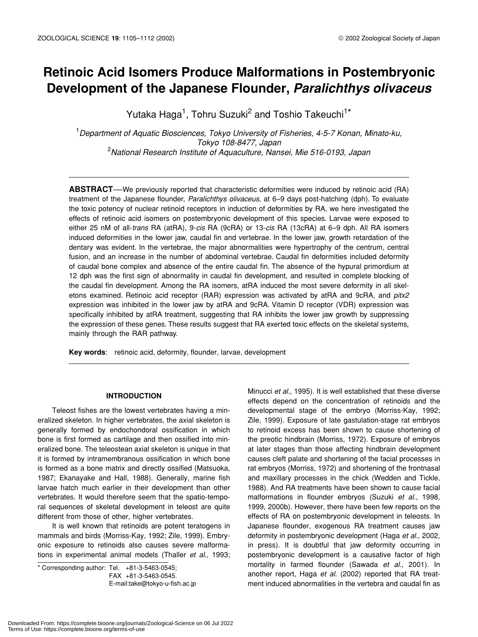# **Retinoic Acid Isomers Produce Malformations in Postembryonic Development of the Japanese Flounder,** *Paralichthys olivaceus*

Yutaka Haga<sup>1</sup>, Tohru Suzuki<sup>2</sup> and Toshio Takeuchi<sup>1\*</sup>

1 *Department of Aquatic Biosciences, Tokyo University of Fisheries, 4-5-7 Konan, Minato-ku, Tokyo 108-8477, Japan* 2 *National Research Institute of Aquaculture, Nansei, Mie 516-0193, Japan*

**ABSTRACT**-—We previously reported that characteristic deformities were induced by retinoic acid (RA) treatment of the Japanese flounder, *Paralichthys olivaceus*, at 6–9 days post-hatching (dph). To evaluate the toxic potency of nuclear retinoid receptors in induction of deformities by RA, we here investigated the effects of retinoic acid isomers on postembryonic development of this species. Larvae were exposed to either 25 nM of all-*trans* RA (atRA), 9-*cis* RA (9cRA) or 13-*cis* RA (13cRA) at 6–9 dph. All RA isomers induced deformities in the lower jaw, caudal fin and vertebrae. In the lower jaw, growth retardation of the dentary was evident. In the vertebrae, the major abnormalities were hypertrophy of the centrum, central fusion, and an increase in the number of abdominal vertebrae. Caudal fin deformities included deformity of caudal bone complex and absence of the entire caudal fin. The absence of the hypural primordium at 12 dph was the first sign of abnormality in caudal fin development, and resulted in complete blocking of the caudal fin development. Among the RA isomers, atRA induced the most severe deformity in all skeletons examined. Retinoic acid receptor (RAR) expression was activated by atRA and 9cRA, and *pitx2* expression was inhibited in the lower jaw by atRA and 9cRA. Vitamin D receptor (VDR) expression was specifically inhibited by atRA treatment, suggesting that RA inhibits the lower jaw growth by suppressing the expression of these genes. These results suggest that RA exerted toxic effects on the skeletal systems, mainly through the RAR pathway.

**Key words**: retinoic acid, deformity, flounder, larvae, development

# **INTRODUCTION**

Teleost fishes are the lowest vertebrates having a mineralized skeleton. In higher vertebrates, the axial skeleton is generally formed by endochondoral ossification in which bone is first formed as cartilage and then ossified into mineralized bone. The teleostean axial skeleton is unique in that it is formed by intramembranous ossification in which bone is formed as a bone matrix and directly ossified (Matsuoka, 1987; Ekanayake and Hall, 1988). Generally, marine fish larvae hatch much earlier in their development than other vertebrates. It would therefore seem that the spatio-temporal sequences of skeletal development in teleost are quite different from those of other, higher vertebrates.

It is well known that retinoids are potent teratogens in mammals and birds (Morriss-Kay, 1992; Zile, 1999). Embryonic exposure to retinoids also causes severe malformations in experimental animal models (Thaller *et al*., 1993;

 $*$  Corresponding author: Tel.  $+81-3-5463-0545$ ; FAX +81-3-5463-0545. E-mail:take@tokyo-u-fish.ac.jp Minucci *et al*., 1995). It is well established that these diverse effects depend on the concentration of retinoids and the developmental stage of the embryo (Morriss-Kay, 1992; Zile, 1999). Exposure of late gastulation-stage rat embryos to retinoid excess has been shown to cause shortening of the preotic hindbrain (Morriss, 1972). Exposure of embryos at later stages than those affecting hindbrain development causes cleft palate and shortening of the facial processes in rat embryos (Morriss, 1972) and shortening of the frontnasal and maxillary processes in the chick (Wedden and Tickle, 1988). And RA treatments have been shown to cause facial malformations in flounder embryos (Suzuki *et al*., 1998, 1999, 2000b). However, there have been few reports on the effects of RA on postembryonic development in teleosts. In Japanese flounder, exogenous RA treatment causes jaw deformity in postembryonic development (Haga *et al.*, 2002, in press). It is doubtful that jaw deformity occurring in postembryonic development is a causative factor of high mortality in farmed flounder (Sawada *et al*., 2001). In another report, Haga *et al*. (2002) reported that RA treatment induced abnormalities in the vertebra and caudal fin as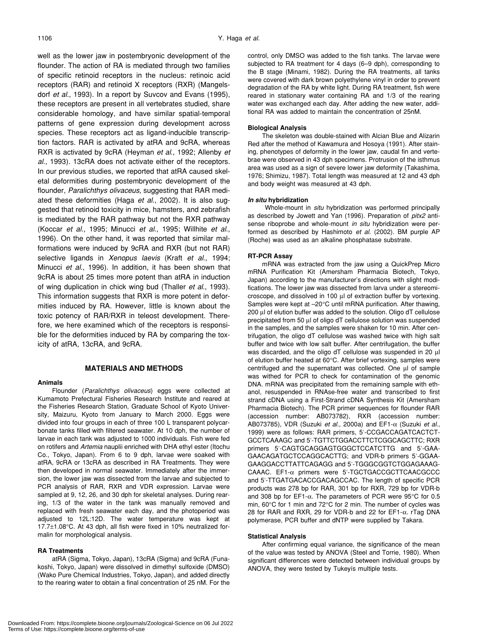well as the lower jaw in postembryonic development of the flounder. The action of RA is mediated through two families of specific retinoid receptors in the nucleus: retinoic acid receptors (RAR) and retinoid X receptors (RXR) (Mangelsdorf *et al*., 1993). In a report by Suvcov and Evans (1995), these receptors are present in all vertebrates studied, share considerable homology, and have similar spatial-temporal patterns of gene expression during development across species. These receptors act as ligand-inducible transcription factors. RAR is activated by atRA and 9cRA, whereas RXR is activated by 9cRA (Heyman *et al*., 1992; Allenby *et al*., 1993). 13cRA does not activate either of the receptors. In our previous studies, we reported that atRA caused skeletal deformities during postembryonic development of the flounder, *Paralichthys olivaceus*, suggesting that RAR mediated these deformities (Haga *et al*., 2002). It is also suggested that retinoid toxicity in mice, hamsters, and zebrafish is mediated by the RAR pathway but not the RXR pathway (Koccar *et al*., 1995; Minucci *et al*., 1995; Willhite *et al*., 1996). On the other hand, it was reported that similar malformations were induced by 9cRA and RXR (but not RAR) selective ligands in *Xenopus laevis* (Kraft *et al*., 1994; Minucci *et al*., 1996). In addition, it has been shown that 9cRA is about 25 times more potent than atRA in induction of wing duplication in chick wing bud (Thaller *et al*., 1993). This information suggests that RXR is more potent in deformities induced by RA. However, little is known about the toxic potency of RAR/RXR in teleost development. Therefore, we here examined which of the receptors is responsible for the deformities induced by RA by comparing the toxicity of atRA, 13cRA, and 9cRA.

#### **MATERIALS AND METHODS**

#### **Animals**

Flounder (*Paralichthys olivaceus*) eggs were collected at Kumamoto Prefectural Fisheries Research Institute and reared at the Fisheries Research Station, Graduate School of Kyoto University, Maizuru, Kyoto from January to March 2000. Eggs were divided into four groups in each of three 100 L transparent polycarbonate tanks filled with filtered seawater. At 10 dph, the number of larvae in each tank was adjusted to 1000 individuals. Fish were fed on rotifers and *Artemia* nauplii enriched with DHA ethyl ester (Itochu Co., Tokyo, Japan). From 6 to 9 dph, larvae were soaked with atRA, 9cRA or 13cRA as described in RA Treatments. They were then developed in normal seawater. Immediately after the immersion, the lower jaw was dissected from the larvae and subjected to PCR analysis of RAR, RXR and VDR expression. Larvae were sampled at 9, 12, 26, and 30 dph for skeletal analyses. During rearing, 1/3 of the water in the tank was manually removed and replaced with fresh seawater each day, and the photoperiod was adjusted to 12L:12D. The water temperature was kept at 17.7±1.08°C. At 43 dph, all fish were fixed in 10% neutralized formalin for morphological analysis.

#### **RA Treatments**

atRA (Sigma, Tokyo, Japan), 13cRA (Sigma) and 9cRA (Funakoshi, Tokyo, Japan) were dissolved in dimethyl sulfoxide (DMSO) (Wako Pure Chemical Industries, Tokyo, Japan), and added directly to the rearing water to obtain a final concentration of 25 nM. For the control, only DMSO was added to the fish tanks. The larvae were subjected to RA treatment for 4 days (6–9 dph), corresponding to the B stage (Minami, 1982). During the RA treatments, all tanks were covered with dark brown polyethylene vinyl in order to prevent degradation of the RA by white light. During RA treatment, fish were reared in stationary water containing RA and 1/3 of the rearing water was exchanged each day. After adding the new water, additional RA was added to maintain the concentration of 25nM.

#### **Biological Analysis**

The skeleton was double-stained with Alcian Blue and Alizarin Red after the method of Kawamura and Hosoya (1991). After staining, phenotypes of deformity in the lower jaw, caudal fin and vertebrae were observed in 43 dph specimens. Protrusion of the isthmus area was used as a sign of severe lower jaw deformity (Takashima, 1976; Shimizu, 1987). Total length was measured at 12 and 43 dph and body weight was measured at 43 dph.

#### *In situ* **hybridization**

 Whole-mount in *situ* hybridization was performed principally as described by Jowett and Yan (1996). Preparation of *pitx2* antisense riboprobe and whole-mount *in situ* hybridization were performed as described by Hashimoto *et al*. (2002). BM purple AP (Roche) was used as an alkaline phosphatase substrate.

#### **RT-PCR Assay**

mRNA was extracted from the jaw using a QuickPrep Micro mRNA Purification Kit (Amersham Pharmacia Biotech, Tokyo, Japan) according to the manufacturer's directions with slight modifications. The lower jaw was dissected from larva under a stereomicroscope, and dissolved in 100 µl of extraction buffer by vortexing. Samples were kept at –20°C until mRNA purification. After thawing, 200 µl of elution buffer was added to the solution. Oligo dT cellulose precipitated from 50 µl of oligo dT cellulose solution was suspended in the samples, and the samples were shaken for 10 min. After centrifugation, the oligo dT cellulose was washed twice with high salt buffer and twice with low salt buffer. After centrifugation, the buffer was discarded, and the oligo dT cellulose was suspended in 20 µl of elution buffer heated at 60°C. After brief vortexing, samples were centrifuged and the supernatant was collected. One µl of sample was withed for PCR to check for contamination of the genomic DNA. mRNA was precipitated from the remaining sample with ethanol, resuspended in RNAse-free water and transcribed to first strand cDNA using a First-Strand cDNA Synthesis Kit (Amersham Pharmacia Biotech). The PCR primer sequences for flounder RAR (accession number: AB073782), RXR (accession number: AB073785), VDR (Suzuki *et al*., 2000a) and EF1-α (Suzuki *et al*., 1999) were as follows: RAR primers, 5'-CCGACCAGATCACTCT-GCCTCAAAGC and 5'-TGTTCTGGACCTTCTCGGCAGCTTC; RXR primers 5'-CAGTGCAGGAGTGGGCTCCATCTTG and 5'-GAA-GAACAGATGCTCCAGGCACTTG; and VDR-b primers 5'-GGAA-GAAGGACCTTATTCAGAGG and 5'-TGGGCGGTCTGGAGAAAG-CAAAC. EF1-α primers were 5'-TGCTGACCGCTTCAACGCCC and 5'-TTGATGACACCGACAGCCAC. The length of specific PCR products was 278 bp for RAR, 301 bp for RXR, 729 bp for VDR-b and 308 bp for EF1- $\alpha$ . The parameters of PCR were 95°C for 0.5 min, 60°C for 1 min and 72°C for 2 min. The number of cycles was 28 for RAR and RXR, 29 for VDR-b and 22 for EF1- $\alpha$ . rTag DNA polymerase, PCR buffer and dNTP were supplied by Takara.

#### **Statistical Analysis**

After confirming equal variance, the significance of the mean of the value was tested by ANOVA (Steel and Torrie, 1980). When significant differences were detected between individual groups by ANOVA, they were tested by Tukeyís multiple tests.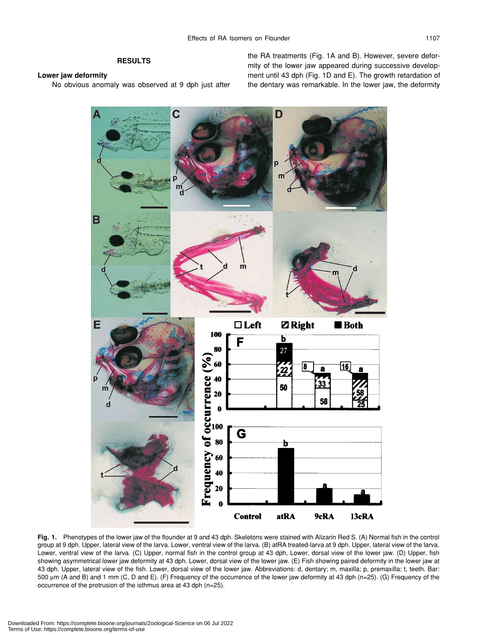# **RESULTS**

# **Lower jaw deformity**

No obvious anomaly was observed at 9 dph just after

the RA treatments (Fig. 1A and B). However, severe deformity of the lower jaw appeared during successive development until 43 dph (Fig. 1D and E). The growth retardation of the dentary was remarkable. In the lower jaw, the deformity



**Fig. 1.** Phenotypes of the lower jaw of the flounder at 9 and 43 dph. Skeletons were stained with Alizarin Red S. (A) Normal fish in the control group at 9 dph. Upper, lateral view of the larva. Lower, ventral view of the larva. (B) atRA treated-larva at 9 dph. Upper, lateral view of the larva. Lower, ventral view of the larva. (C) Upper, normal fish in the control group at 43 dph, Lower, dorsal view of the lower jaw. (D) Upper, fish showing asymmetrical lower jaw deformity at 43 dph. Lower, dorsal view of the lower jaw. (E) Fish showing paired deformity in the lower jaw at 43 dph. Upper, lateral view of the fish. Lower, dorsal view of the lower jaw. Abbreviations: d, dentary; m, maxilla; p, premaxilla; t, teeth. Bar: 500 µm (A and B) and 1 mm (C, D and E). (F) Frequency of the occurrence of the lower jaw deformity at 43 dph (n=25). (G) Frequency of the occurrence of the protrusion of the isthmus area at 43 dph (n=25).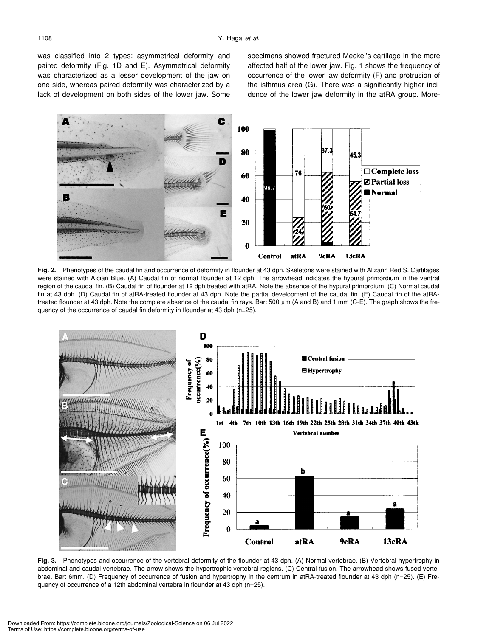was classified into 2 types: asymmetrical deformity and paired deformity (Fig. 1D and E). Asymmetrical deformity was characterized as a lesser development of the jaw on one side, whereas paired deformity was characterized by a lack of development on both sides of the lower jaw. Some specimens showed fractured Meckel's cartilage in the more affected half of the lower jaw. Fig. 1 shows the frequency of occurrence of the lower jaw deformity (F) and protrusion of the isthmus area (G). There was a significantly higher incidence of the lower jaw deformity in the atRA group. More-



**Fig. 2.** Phenotypes of the caudal fin and occurrence of deformity in flounder at 43 dph. Skeletons were stained with Alizarin Red S. Cartilages were stained with Alcian Blue. (A) Caudal fin of normal flounder at 12 dph. The arrowhead indicates the hypural primordium in the ventral region of the caudal fin. (B) Caudal fin of flounder at 12 dph treated with atRA. Note the absence of the hypural primordium. (C) Normal caudal fin at 43 dph. (D) Caudal fin of atRA-treated flounder at 43 dph. Note the partial development of the caudal fin. (E) Caudal fin of the atRAtreated flounder at 43 dph. Note the complete absence of the caudal fin rays. Bar: 500  $\mu$ m (A and B) and 1 mm (C-E). The graph shows the frequency of the occurrence of caudal fin deformity in flounder at 43 dph (n=25).



**Fig. 3.** Phenotypes and occurrence of the vertebral deformity of the flounder at 43 dph. (A) Normal vertebrae. (B) Vertebral hypertrophy in abdominal and caudal vertebrae. The arrow shows the hypertrophic vertebral regions. (C) Central fusion. The arrowhead shows fused vertebrae. Bar: 6mm. (D) Frequency of occurrence of fusion and hypertrophy in the centrum in atRA-treated flounder at 43 dph (n=25). (E) Frequency of occurrence of a 12th abdominal vertebra in flounder at 43 dph (n=25).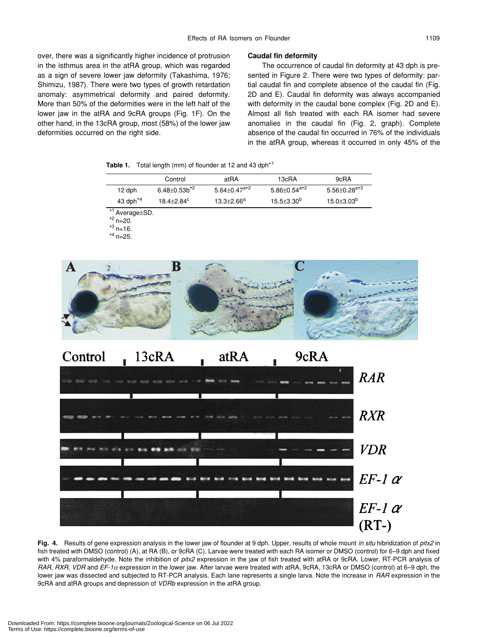over, there was a significantly higher incidence of protrusion in the isthmus area in the atRA group, which was regarded as a sign of severe lower jaw deformity (Takashima, 1976; Shimizu, 1987). There were two types of growth retardation anomaly: asymmetrical deformity and paired deformity. More than 50% of the deformities were in the left half of the lower jaw in the atRA and 9cRA groups (Fig. 1F). On the other hand, in the 13cRA group, most (58%) of the lower jaw deformities occurred on the right side.

#### **Caudal fin deformity**

The occurrence of caudal fin deformity at 43 dph is presented in Figure 2. There were two types of deformity: partial caudal fin and complete absence of the caudal fin (Fig. 2D and E). Caudal fin deformity was always accompanied with deformity in the caudal bone complex (Fig. 2D and E). Almost all fish treated with each RA isomer had severe anomalies in the caudal fin (Fig. 2, graph). Complete absence of the caudal fin occurred in 76% of the individuals in the atRA group, whereas it occurred in only 45% of the

**Table 1.** Total length (mm) of flounder at 12 and 43 dph\*<sup>1</sup>

|                                                                         | Control               | atRA                             | 13cRA                          | 9cRA                           |
|-------------------------------------------------------------------------|-----------------------|----------------------------------|--------------------------------|--------------------------------|
| 12 dph                                                                  | $6.48 \pm 0.53b^{*2}$ | $5.64 \pm 0.47^{\mathrm{a} * 2}$ | $5.86 \pm 0.54$ <sup>a*2</sup> | $5.56 \pm 0.28$ <sup>a*3</sup> |
| 43 dph* <sup>4</sup>                                                    | $18.4 + 2.84^c$       | $13.3 + 2.66^a$                  | $15.5 \pm 3.30^b$              | $15.0 + 3.03^{b}$              |
| * <sup>1</sup> Average ±SD.<br>$*^2$ n=20.<br>$*3$ n=16.<br>$*^4$ n=25. |                       |                                  |                                |                                |





**Fig. 4.** Results of gene expression analysis in the lower jaw of flounder at 9 dph. Upper, results of whole mount *in situ* hibridization of *pitx2* in fish treated with DMSO (control) (A), at RA (B), or 9cRA (C). Larvae were treated with each RA isomer or DMSO (control) for 6–9 dph and fixed with 4% paraformaldehyde. Note the inhibition of *pitx2* expression in the jaw of fish treated with atRA or 9cRA. Lower, RT-PCR analysis of *RAR*, *RXR*, *VDR* and *EF-1*<sup>α</sup> expression in the lower jaw. After larvae were treated with atRA, 9cRA, 13cRA or DMSO (control) at 6–9 dph, the lower jaw was dissected and subjected to RT-PCR analysis. Each lane represents a single larva. Note the increase in *RAR* expression in the 9cRA and atRA groups and depression of *VDRb* expression in the atRA group.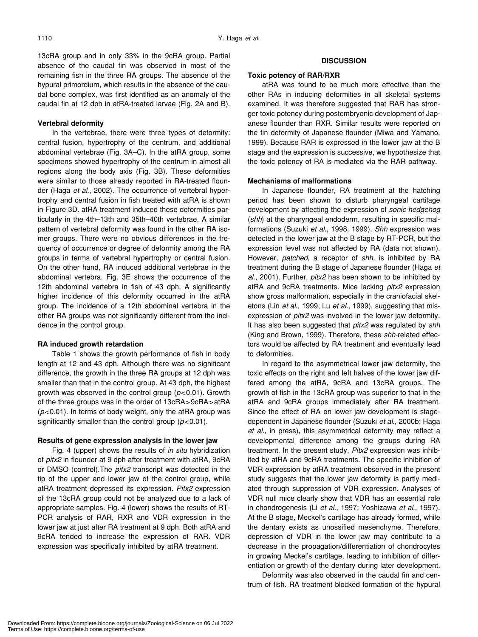13cRA group and in only 33% in the 9cRA group. Partial absence of the caudal fin was observed in most of the remaining fish in the three RA groups. The absence of the hypural primordium, which results in the absence of the caudal bone complex, was first identified as an anomaly of the caudal fin at 12 dph in atRA-treated larvae (Fig. 2A and B).

# **Vertebral deformity**

In the vertebrae, there were three types of deformity: central fusion, hypertrophy of the centrum, and additional abdominal vertebrae (Fig. 3A–C). In the atRA group, some specimens showed hypertrophy of the centrum in almost all regions along the body axis (Fig. 3B). These deformities were similar to those already reported in RA-treated flounder (Haga *et al*., 2002). The occurrence of vertebral hypertrophy and central fusion in fish treated with atRA is shown in Figure 3D. atRA treatment induced these deformities particularly in the 4th–13th and 35th–40th vertebrae. A similar pattern of vertebral deformity was found in the other RA isomer groups. There were no obvious differences in the frequency of occurrence or degree of deformity among the RA groups in terms of vertebral hypertrophy or central fusion. On the other hand, RA induced additional vertebrae in the abdominal vertebra. Fig. 3E shows the occurrence of the 12th abdominal vertebra in fish of 43 dph. A significantly higher incidence of this deformity occurred in the atRA group. The incidence of a 12th abdominal vertebra in the other RA groups was not significantly different from the incidence in the control group.

## **RA induced growth retardation**

Table 1 shows the growth performance of fish in body length at 12 and 43 dph. Although there was no significant difference, the growth in the three RA groups at 12 dph was smaller than that in the control group. At 43 dph, the highest growth was observed in the control group (*p*<0.01). Growth of the three groups was in the order of 13cRA>9cRA>atRA (*p*<0.01). In terms of body weight, only the atRA group was significantly smaller than the control group ( $p$ <0.01).

# **Results of gene expression analysis in the lower jaw**

Fig. 4 (upper) shows the results of *in situ* hybridization of *pitx2* in flounder at 9 dph after treatment with atRA, 9cRA or DMSO (control).The *pitx2* transcript was detected in the tip of the upper and lower jaw of the control group, while atRA treatment depressed its expression. *Pitx2* expression of the 13cRA group could not be analyzed due to a lack of appropriate samples. Fig. 4 (lower) shows the results of RT-PCR analysis of RAR, RXR and VDR expression in the lower jaw at just after RA treatment at 9 dph. Both atRA and 9cRA tended to increase the expression of RAR. VDR expression was specifically inhibited by atRA treatment.

#### **DISCUSSION**

# **Toxic potency of RAR/RXR**

atRA was found to be much more effective than the other RAs in inducing deformities in all skeletal systems examined. It was therefore suggested that RAR has stronger toxic potency during postembryonic development of Japanese flounder than RXR. Similar results were reported on the fin deformity of Japanese flounder (Miwa and Yamano, 1999). Because RAR is expressed in the lower jaw at the B stage and the expression is successive, we hypothesize that the toxic potency of RA is mediated via the RAR pathway.

## **Mechanisms of malformations**

In Japanese flounder, RA treatment at the hatching period has been shown to disturb pharyngeal cartilage development by affecting the expression of *sonic hedgehog* (*shh*) at the pharyngeal endoderm, resulting in specific malformations (Suzuki *et al*., 1998, 1999). *Shh* expression was detected in the lower jaw at the B stage by RT-PCR, but the expression level was not affected by RA (data not shown). However, *patched*, a receptor of *shh*, is inhibited by RA treatment during the B stage of Japanese flounder (Haga *et al*., 2001). Further, *pitx2* has been shown to be inhibited by atRA and 9cRA treatments. Mice lacking *pitx2* expression show gross malformation, especially in the craniofacial skeletons (Lin *et al*., 1999; Lu *et al*., 1999), suggesting that misexpression of *pitx2* was involved in the lower jaw deformity. It has also been suggested that *pitx2* was regulated by *shh* (King and Brown, 1999). Therefore, these *shh*-related effectors would be affected by RA treatment and eventually lead to deformities.

In regard to the asymmetrical lower jaw deformity, the toxic effects on the right and left halves of the lower jaw differed among the atRA, 9cRA and 13cRA groups. The growth of fish in the 13cRA group was superior to that in the atRA and 9cRA groups immediately after RA treatment. Since the effect of RA on lower jaw development is stagedependent in Japanese flounder (Suzuki *et al*., 2000b; Haga *et al*., in press), this asymmetrical deformity may reflect a developmental difference among the groups during RA treatment. In the present study, *Pitx2* expression was inhibited by atRA and 9cRA treatments. The specific inhibition of VDR expression by atRA treatment observed in the present study suggests that the lower jaw deformity is partly mediated through suppression of VDR expression. Analyses of VDR null mice clearly show that VDR has an essential role in chondrogenesis (Li *et al*., 1997; Yoshizawa *et al*., 1997). At the B stage, Meckel's cartilage has already formed, while the dentary exists as unossified mesenchyme. Therefore, depression of VDR in the lower jaw may contribute to a decrease in the propagation/differentiation of chondrocytes in growing Meckel's cartilage, leading to inhibition of differentiation or growth of the dentary during later development.

Deformity was also observed in the caudal fin and centrum of fish. RA treatment blocked formation of the hypural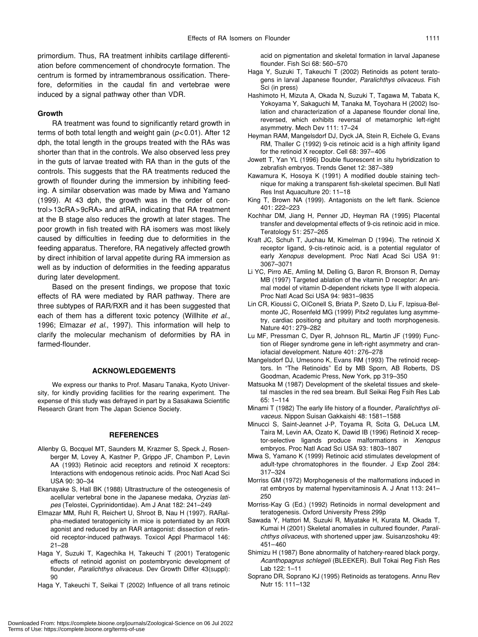primordium. Thus, RA treatment inhibits cartilage differentiation before commencement of chondrocyte formation. The centrum is formed by intramembranous ossification. Therefore, deformities in the caudal fin and vertebrae were induced by a signal pathway other than VDR.

# **Growth**

RA treatment was found to significantly retard growth in terms of both total length and weight gain (*p*<0.01). After 12 dph, the total length in the groups treated with the RAs was shorter than that in the controls. We also observed less prey in the guts of larvae treated with RA than in the guts of the controls. This suggests that the RA treatments reduced the growth of flounder during the immersion by inhibiting feeding. A similar observation was made by Miwa and Yamano (1999). At 43 dph, the growth was in the order of control>13cRA>9cRA> and atRA, indicating that RA treatment at the B stage also reduces the growth at later stages. The poor growth in fish treated with RA isomers was most likely caused by difficulties in feeding due to deformities in the feeding apparatus. Therefore, RA negatively affected growth by direct inhibition of larval appetite during RA immersion as well as by induction of deformities in the feeding apparatus during later development.

Based on the present findings, we propose that toxic effects of RA were mediated by RAR pathway. There are three subtypes of RAR/RXR and it has been suggested that each of them has a different toxic potency (Willhite *et al*., 1996; Elmazar *et al*., 1997). This information will help to clarify the molecular mechanism of deformities by RA in farmed-flounder.

#### **ACKNOWLEDGEMENTS**

We express our thanks to Prof. Masaru Tanaka, Kyoto University, for kindly providing facilities for the rearing experiment. The expense of this study was defrayed in part by a Sasakawa Scientific Research Grant from The Japan Science Society.

#### **REFERENCES**

- Allenby G, Bocquel MT, Saunders M, Krazmer S, Speck J, Rosenberger M, Lovey A, Kastner P, Grippo JF, Chambon P, Levin AA (1993) Retinoic acid receptors and retinoid X receptors: Interactions with endogenous retinoic acids. Proc Natl Acad Sci USA 90: 30–34
- Ekanayake S, Hall BK (1988) Ultrastructure of the osteogenesis of acellular vertebral bone in the Japanese medaka, *Oryzias latipes* (Telostei, Cyprinidontidae). Am J Anat 182: 241–249
- Elmazar MM, Ruhl R, Reichert U, Shroot B, Nau H (1997). RARalpha-mediated teratogenicity in mice is potentiated by an RXR agonist and reduced by an RAR antagonist: dissection of retinoid receptor-induced pathways. Toxicol Appl Pharmacol 146: 21–28
- Haga Y, Suzuki T, Kagechika H, Takeuchi T (2001) Teratogenic effects of retinoid agonist on postembryonic development of flounder, *Paralichthys olivaceus*. Dev Growth Differ 43(suppl): 90
- Haga Y, Takeuchi T, Seikai T (2002) Influence of all trans retinoic

acid on pigmentation and skeletal formation in larval Japanese flounder. Fish Sci 68: 560–570

- Haga Y, Suzuki T, Takeuchi T (2002) Retinoids as potent teratogens in larval Japanese flounder, *Paralichthys olivaceus*. Fish Sci (in press)
- Hashimoto H, Mizuta A, Okada N, Suzuki T, Tagawa M, Tabata K, Yokoyama Y, Sakaguchi M, Tanaka M, Toyohara H (2002) Isolation and characterization of a Japanese flounder clonal line, reversed, which exhibits reversal of metamorphic left-right asymmetry. Mech Dev 111: 17–24
- Heyman RAM, Mangelsdorf DJ, Dyck JA, Stein R, Eichele G, Evans RM, Thaller C (1992) 9-cis retinoic acid is a high affinity ligand for the retinoid X receptor. Cell 68: 397–406
- Jowett T, Yan YL (1996) Double fluorescent in situ hybridization to zebrafish embryos. Trends Genet 12: 387–389
- Kawamura K, Hosoya K (1991) A modified double staining technique for making a transparent fish-skeletal specimen. Bull Natl Res Inst Aquaculture 20: 11–18
- King T, Brown NA (1999). Antagonists on the left flank. Science 401: 222–223
- Kochhar DM, Jiang H, Penner JD, Heyman RA (1995) Placental transfer and developmental effects of 9-cis retinoic acid in mice. Teratology 51: 257–265
- Kraft JC, Schuh T, Juchau M, Kimelman D (1994). The retinoid X receptor ligand, 9-cis-retinoic acid, is a potential regulator of early *Xenopus* development. Proc Natl Acad Sci USA 91: 3067–3071
- Li YC, Pirro AE, Amling M, Delling G, Baron R, Bronson R, Demay MB (1997) Targeted ablation of the vitamin D receptor: An animal model of vitamin D-dependent rickets type II with alopecia. Proc Natl Acad Sci USA 94: 9831–9835
- Lin CR, Kioussi C, OíConell S, Briata P, Szeto D, Liu F, Izpisua-Belmonte JC, Rosenfeld MG (1999) Pitx2 regulates lung asymmetry, cardiac positiong and pituitary and tooth morphogenesis. Nature 401: 279–282
- Lu MF, Pressman C, Dyer R, Johnson RL, Martin JF (1999) Function of Rieger syndrome gene in left-right asymmetry and craniofacial development. Nature 401: 276–278
- Mangelsdorf DJ, Umesono K, Evans RM (1993) The retinoid receptors. In "The Retinoids" Ed by MB Sporn, AB Roberts, DS Goodman, Academic Press, New York, pp 319–350
- Matsuoka M (1987) Development of the skeletal tissues and skeletal mascles in the red sea bream. Bull Seikai Reg Fsih Res Lab 65: 1–114
- Minami T (1982) The early life history of a flounder, *Paralichthys olivaceus*. Nippon Suisan Gakkaishi 48: 1581–1588
- Minucci S, Saint-Jeannet J-P, Toyama R, Scita G, DeLuca LM, Taira M, Levin AA, Ozato K, Dawid IB (1996) Retinoid X receptor-selective ligands produce malformations in *Xenopus* embryos. Proc Natl Acad Sci USA 93: 1803–1807
- Miwa S, Yamano K (1999) Retinoic acid stimulates development of adult-type chromatophores in the flounder. J Exp Zool 284: 317–324
- Morriss GM (1972) Morphogenesis of the malformations induced in rat embryos by maternal hypervitaminosis A. J Anat 113: 241– 250
- Morriss-Kay G (Ed.) (1992) Retinoids in normal development and teratogenesis. Oxford University Press 299p
- Sawada Y, Hattori M, Suzuki R, Miyatake H, Kurata M, Okada T, Kumai H (2001) Skeletal anomalies in cultured flounder, *Paralichthys olivaceus*, with shortened upper jaw. Suisanzoshoku 49: 451–460
- Shimizu H (1987) Bone abnormality of hatchery-reared black porgy, *Acanthopagrus schlegeli* (BLEEKER). Bull Tokai Reg Fish Res Lab 122: 1–11
- Soprano DR, Soprano KJ (1995) Retinoids as teratogens. Annu Rev Nutr 15: 111–132